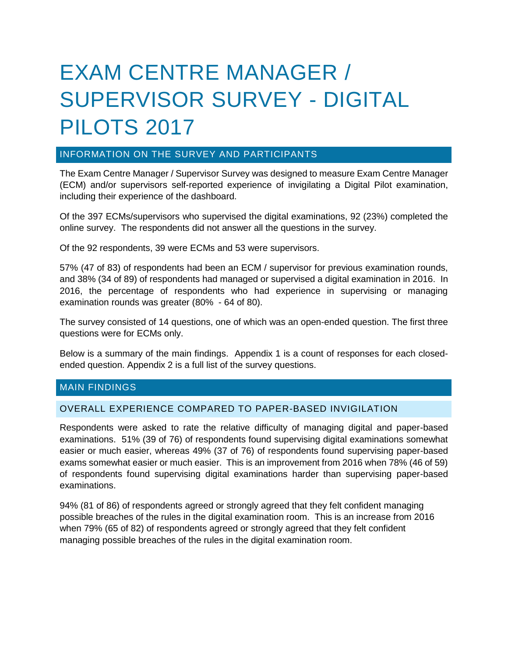# EXAM CENTRE MANAGER / SUPERVISOR SURVEY - DIGITAL PILOTS 2017

## INFORMATION ON THE SURVEY AND PARTICIPANTS

The Exam Centre Manager / Supervisor Survey was designed to measure Exam Centre Manager (ECM) and/or supervisors self-reported experience of invigilating a Digital Pilot examination, including their experience of the dashboard.

Of the 397 ECMs/supervisors who supervised the digital examinations, 92 (23%) completed the online survey. The respondents did not answer all the questions in the survey.

Of the 92 respondents, 39 were ECMs and 53 were supervisors.

57% (47 of 83) of respondents had been an ECM / supervisor for previous examination rounds, and 38% (34 of 89) of respondents had managed or supervised a digital examination in 2016. In 2016, the percentage of respondents who had experience in supervising or managing examination rounds was greater (80% - 64 of 80).

The survey consisted of 14 questions, one of which was an open-ended question. The first three questions were for ECMs only.

Below is a summary of the main findings. Appendix 1 is a count of responses for each closedended question. Appendix 2 is a full list of the survey questions.

# MAIN FINDINGS

## OVERALL EXPERIENCE COMPARED TO PAPER-BASED INVIGILATION

Respondents were asked to rate the relative difficulty of managing digital and paper-based examinations. 51% (39 of 76) of respondents found supervising digital examinations somewhat easier or much easier, whereas 49% (37 of 76) of respondents found supervising paper-based exams somewhat easier or much easier. This is an improvement from 2016 when 78% (46 of 59) of respondents found supervising digital examinations harder than supervising paper-based examinations.

94% (81 of 86) of respondents agreed or strongly agreed that they felt confident managing possible breaches of the rules in the digital examination room. This is an increase from 2016 when 79% (65 of 82) of respondents agreed or strongly agreed that they felt confident managing possible breaches of the rules in the digital examination room.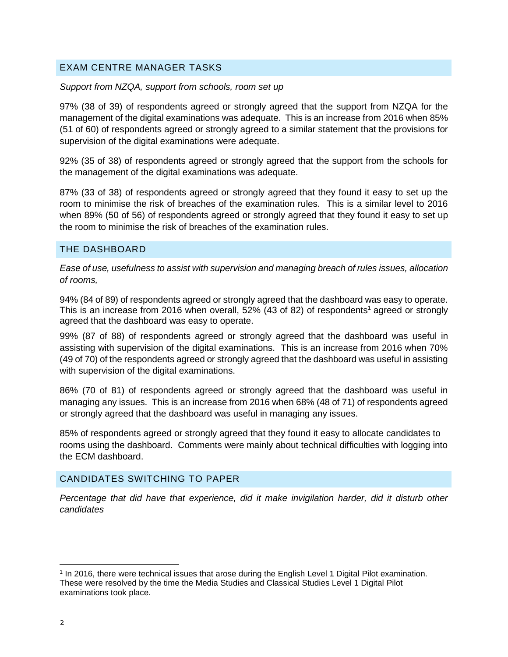# EXAM CENTRE MANAGER TASKS

## *Support from NZQA, support from schools, room set up*

97% (38 of 39) of respondents agreed or strongly agreed that the support from NZQA for the management of the digital examinations was adequate. This is an increase from 2016 when 85% (51 of 60) of respondents agreed or strongly agreed to a similar statement that the provisions for supervision of the digital examinations were adequate.

92% (35 of 38) of respondents agreed or strongly agreed that the support from the schools for the management of the digital examinations was adequate.

87% (33 of 38) of respondents agreed or strongly agreed that they found it easy to set up the room to minimise the risk of breaches of the examination rules. This is a similar level to 2016 when 89% (50 of 56) of respondents agreed or strongly agreed that they found it easy to set up the room to minimise the risk of breaches of the examination rules.

## THE DASHBOARD

*Ease of use, usefulness to assist with supervision and managing breach of rules issues, allocation of rooms,* 

94% (84 of 89) of respondents agreed or strongly agreed that the dashboard was easy to operate. This is an increase from 2016 when overall,  $52\%$  (43 of 82) of respondents<sup>1</sup> agreed or strongly agreed that the dashboard was easy to operate.

99% (87 of 88) of respondents agreed or strongly agreed that the dashboard was useful in assisting with supervision of the digital examinations. This is an increase from 2016 when 70% (49 of 70) of the respondents agreed or strongly agreed that the dashboard was useful in assisting with supervision of the digital examinations.

86% (70 of 81) of respondents agreed or strongly agreed that the dashboard was useful in managing any issues. This is an increase from 2016 when 68% (48 of 71) of respondents agreed or strongly agreed that the dashboard was useful in managing any issues.

85% of respondents agreed or strongly agreed that they found it easy to allocate candidates to rooms using the dashboard. Comments were mainly about technical difficulties with logging into the ECM dashboard.

## CANDIDATES SWITCHING TO PAPER

*Percentage that did have that experience, did it make invigilation harder, did it disturb other candidates*

<sup>1</sup> In 2016, there were technical issues that arose during the English Level 1 Digital Pilot examination. These were resolved by the time the Media Studies and Classical Studies Level 1 Digital Pilot examinations took place.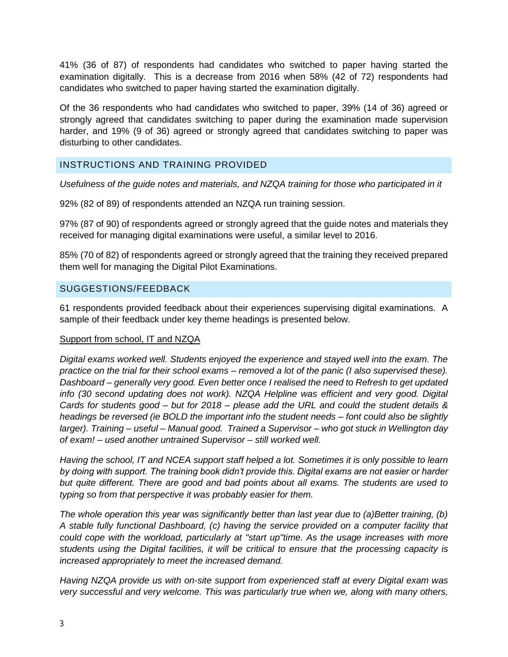41% (36 of 87) of respondents had candidates who switched to paper having started the examination digitally. This is a decrease from 2016 when 58% (42 of 72) respondents had candidates who switched to paper having started the examination digitally.

Of the 36 respondents who had candidates who switched to paper, 39% (14 of 36) agreed or strongly agreed that candidates switching to paper during the examination made supervision harder, and 19% (9 of 36) agreed or strongly agreed that candidates switching to paper was disturbing to other candidates.

# INSTRUCTIONS AND TRAINING PROVIDED

*Usefulness of the guide notes and materials, and NZQA training for those who participated in it*

92% (82 of 89) of respondents attended an NZQA run training session.

97% (87 of 90) of respondents agreed or strongly agreed that the guide notes and materials they received for managing digital examinations were useful, a similar level to 2016.

85% (70 of 82) of respondents agreed or strongly agreed that the training they received prepared them well for managing the Digital Pilot Examinations.

## SUGGESTIONS/FEEDBACK

61 respondents provided feedback about their experiences supervising digital examinations. A sample of their feedback under key theme headings is presented below.

## Support from school, IT and NZQA

*Digital exams worked well. Students enjoyed the experience and stayed well into the exam. The practice on the trial for their school exams – removed a lot of the panic (I also supervised these). Dashboard – generally very good. Even better once I realised the need to Refresh to get updated info (30 second updating does not work). NZQA Helpline was efficient and very good. Digital Cards for students good – but for 2018 – please add the URL and could the student details & headings be reversed (ie BOLD the important info the student needs – font could also be slightly larger). Training – useful – Manual good. Trained a Supervisor – who got stuck in Wellington day of exam! – used another untrained Supervisor – still worked well.* 

*Having the school, IT and NCEA support staff helped a lot. Sometimes it is only possible to learn by doing with support. The training book didn't provide this. Digital exams are not easier or harder but quite different. There are good and bad points about all exams. The students are used to typing so from that perspective it was probably easier for them.* 

*The whole operation this year was significantly better than last year due to (a)Better training, (b) A stable fully functional Dashboard, (c) having the service provided on a computer facility that could cope with the workload, particularly at "start up"time. As the usage increases with more students using the Digital facilities, it will be critiical to ensure that the processing capacity is increased appropriately to meet the increased demand.* 

*Having NZQA provide us with on-site support from experienced staff at every Digital exam was very successful and very welcome. This was particularly true when we, along with many others,*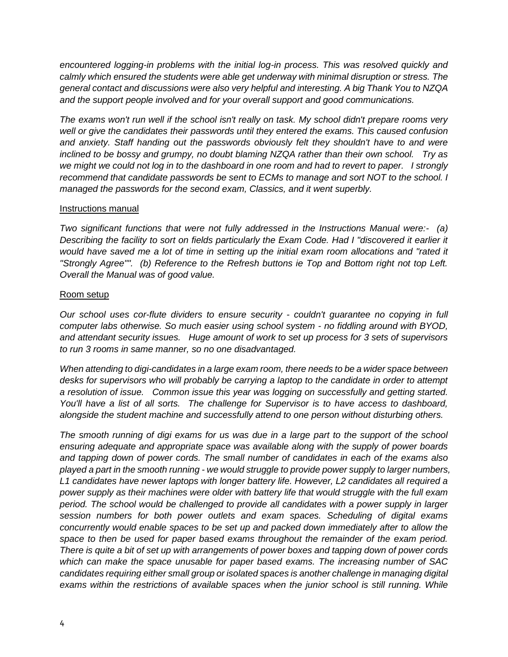*encountered logging-in problems with the initial log-in process. This was resolved quickly and calmly which ensured the students were able get underway with minimal disruption or stress. The general contact and discussions were also very helpful and interesting. A big Thank You to NZQA and the support people involved and for your overall support and good communications.*

*The exams won't run well if the school isn't really on task. My school didn't prepare rooms very well or give the candidates their passwords until they entered the exams. This caused confusion and anxiety. Staff handing out the passwords obviously felt they shouldn't have to and were inclined to be bossy and grumpy, no doubt blaming NZQA rather than their own school. Try as we might we could not log in to the dashboard in one room and had to revert to paper. I strongly recommend that candidate passwords be sent to ECMs to manage and sort NOT to the school. I managed the passwords for the second exam, Classics, and it went superbly.*

## Instructions manual

*Two significant functions that were not fully addressed in the Instructions Manual were:- (a) Describing the facility to sort on fields particularly the Exam Code. Had I "discovered it earlier it would have saved me a lot of time in setting up the initial exam room allocations and "rated it "Strongly Agree"". (b) Reference to the Refresh buttons ie Top and Bottom right not top Left. Overall the Manual was of good value.* 

## Room setup

*Our school uses cor-flute dividers to ensure security - couldn't guarantee no copying in full computer labs otherwise. So much easier using school system - no fiddling around with BYOD, and attendant security issues. Huge amount of work to set up process for 3 sets of supervisors to run 3 rooms in same manner, so no one disadvantaged.* 

*When attending to digi-candidates in a large exam room, there needs to be a wider space between desks for supervisors who will probably be carrying a laptop to the candidate in order to attempt a resolution of issue. Common issue this year was logging on successfully and getting started. You'll have a list of all sorts. The challenge for Supervisor is to have access to dashboard, alongside the student machine and successfully attend to one person without disturbing others.* 

*The smooth running of digi exams for us was due in a large part to the support of the school ensuring adequate and appropriate space was available along with the supply of power boards and tapping down of power cords. The small number of candidates in each of the exams also played a part in the smooth running - we would struggle to provide power supply to larger numbers, L1 candidates have newer laptops with longer battery life. However, L2 candidates all required a power supply as their machines were older with battery life that would struggle with the full exam period. The school would be challenged to provide all candidates with a power supply in larger session numbers for both power outlets and exam spaces. Scheduling of digital exams concurrently would enable spaces to be set up and packed down immediately after to allow the space to then be used for paper based exams throughout the remainder of the exam period. There is quite a bit of set up with arrangements of power boxes and tapping down of power cords which can make the space unusable for paper based exams. The increasing number of SAC candidates requiring either small group or isolated spaces is another challenge in managing digital exams within the restrictions of available spaces when the junior school is still running. While*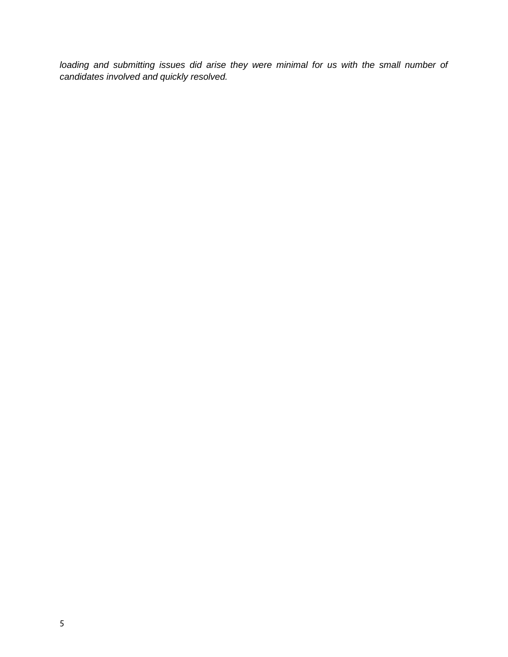loading and submitting issues did arise they were minimal for us with the small number of *candidates involved and quickly resolved.*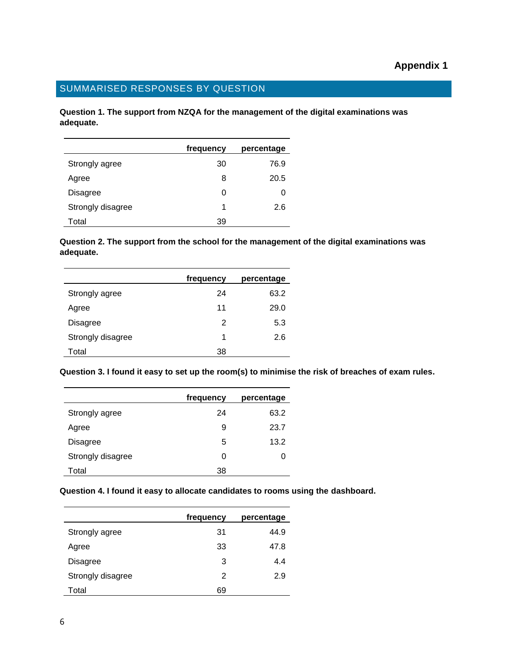# SUMMARISED RESPONSES BY QUESTION

**Question 1. The support from NZQA for the management of the digital examinations was adequate.**

|                   | frequency | percentage |
|-------------------|-----------|------------|
| Strongly agree    | 30        | 76.9       |
| Agree             | 8         | 20.5       |
| Disagree          | 0         | O          |
| Strongly disagree | 1         | 2.6        |
| Total             | 39        |            |

**Question 2. The support from the school for the management of the digital examinations was adequate.**

|                   | frequency | percentage |
|-------------------|-----------|------------|
| Strongly agree    | 24        | 63.2       |
| Agree             | 11        | 29.0       |
| <b>Disagree</b>   | 2         | 5.3        |
| Strongly disagree | 1         | 2.6        |
| Total             | 38        |            |

**Question 3. I found it easy to set up the room(s) to minimise the risk of breaches of exam rules.**

|                   | frequency | percentage |
|-------------------|-----------|------------|
| Strongly agree    | 24        | 63.2       |
| Agree             | 9         | 23.7       |
| <b>Disagree</b>   | 5         | 13.2       |
| Strongly disagree | 0         | 0          |
| Total             | 38        |            |

#### **Question 4. I found it easy to allocate candidates to rooms using the dashboard.**

|                   | frequency | percentage |
|-------------------|-----------|------------|
| Strongly agree    | 31        | 44.9       |
| Agree             | 33        | 47.8       |
| <b>Disagree</b>   | 3         | 4.4        |
| Strongly disagree | 2         | 2.9        |
| Total             | 69        |            |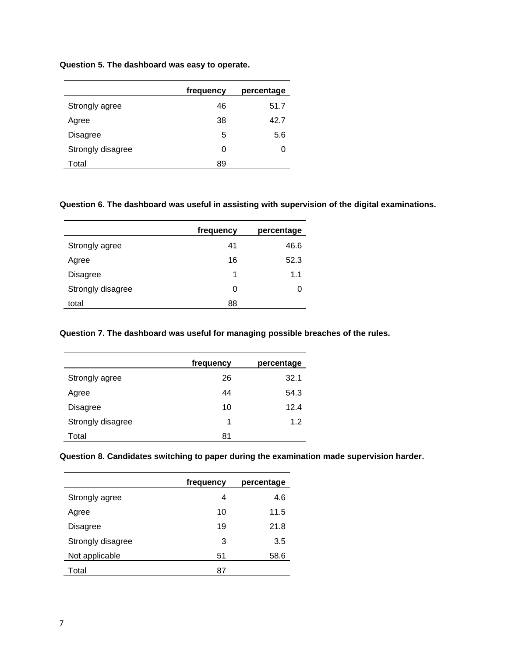## **Question 5. The dashboard was easy to operate.**

|                   | frequency | percentage |
|-------------------|-----------|------------|
| Strongly agree    | 46        | 51.7       |
| Agree             | 38        | 42.7       |
| Disagree          | 5         | 5.6        |
| Strongly disagree | 0         | O          |
| Total             | 89        |            |

#### **Question 6. The dashboard was useful in assisting with supervision of the digital examinations.**

|                   | frequency | percentage |
|-------------------|-----------|------------|
| Strongly agree    | 41        | 46.6       |
| Agree             | 16        | 52.3       |
| <b>Disagree</b>   | 1         | 1.1        |
| Strongly disagree | 0         |            |
| total             | 88        |            |

## **Question 7. The dashboard was useful for managing possible breaches of the rules.**

|                   | frequency | percentage |
|-------------------|-----------|------------|
| Strongly agree    | 26        | 32.1       |
| Agree             | 44        | 54.3       |
| <b>Disagree</b>   | 10        | 12.4       |
| Strongly disagree | 1         | 1.2        |
| Total             | 81        |            |

## **Question 8. Candidates switching to paper during the examination made supervision harder.**

|                   | frequency | percentage |
|-------------------|-----------|------------|
| Strongly agree    | 4         | 4.6        |
| Agree             | 10        | 11.5       |
| <b>Disagree</b>   | 19        | 21.8       |
| Strongly disagree | 3         | 3.5        |
| Not applicable    | 51        | 58.6       |
| Total             | 87        |            |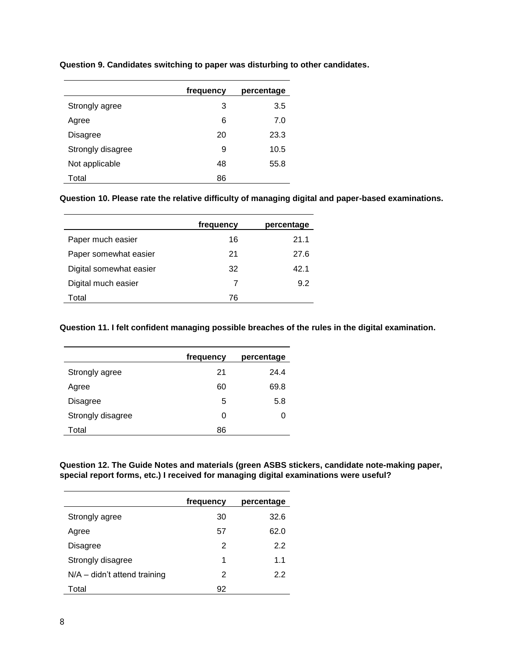|                   | frequency | percentage |
|-------------------|-----------|------------|
| Strongly agree    | 3         | 3.5        |
| Agree             | 6         | 7.0        |
| Disagree          | 20        | 23.3       |
| Strongly disagree | 9         | 10.5       |
| Not applicable    | 48        | 55.8       |
| Total             | 86        |            |

**Question 9. Candidates switching to paper was disturbing to other candidates.**

**Question 10. Please rate the relative difficulty of managing digital and paper-based examinations.**

|                         | frequency | percentage |
|-------------------------|-----------|------------|
| Paper much easier       | 16        | 21.1       |
| Paper somewhat easier   | 21        | 27.6       |
| Digital somewhat easier | 32        | 42.1       |
| Digital much easier     |           | 9.2        |
| Total                   | 76        |            |

**Question 11. I felt confident managing possible breaches of the rules in the digital examination.**

|                   | frequency | percentage |
|-------------------|-----------|------------|
| Strongly agree    | 21        | 24.4       |
| Agree             | 60        | 69.8       |
| Disagree          | 5         | 5.8        |
| Strongly disagree | 0         | O          |
| Total             | 86        |            |

**Question 12. The Guide Notes and materials (green ASBS stickers, candidate note-making paper, special report forms, etc.) I received for managing digital examinations were useful?**

|                                | frequency | percentage |
|--------------------------------|-----------|------------|
| Strongly agree                 | 30        | 32.6       |
| Agree                          | 57        | 62.0       |
| Disagree                       | 2         | 2.2        |
| Strongly disagree              | 1         | 1.1        |
| $N/A$ – didn't attend training | 2         | 2.2        |
| Total                          | 92        |            |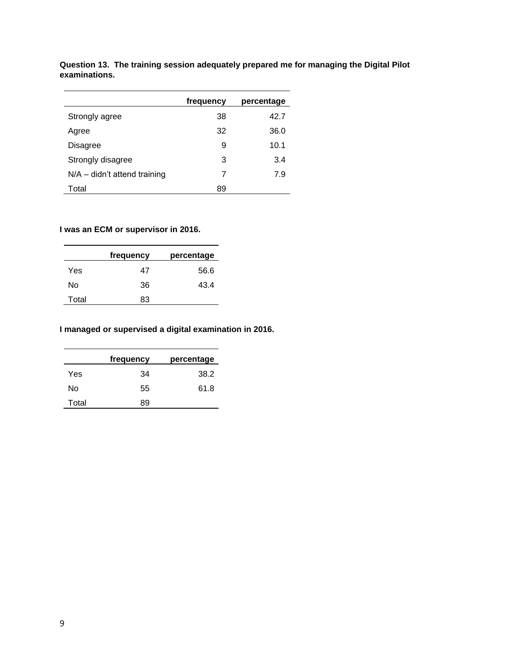|                              | frequency | percentage |
|------------------------------|-----------|------------|
| Strongly agree               | 38        | 42.7       |
| Agree                        | 32        | 36.0       |
| <b>Disagree</b>              | 9         | 10.1       |
| Strongly disagree            | 3         | 3.4        |
| N/A - didn't attend training | 7         | 7.9        |
| Total                        | 89        |            |

**Question 13. The training session adequately prepared me for managing the Digital Pilot examinations.**

# **I was an ECM or supervisor in 2016.**

|       | frequency | percentage |
|-------|-----------|------------|
| Yes   | 47        | 56.6       |
| No    | 36        | 43.4       |
| Total | 83        |            |

# **I managed or supervised a digital examination in 2016.**

|       | frequency | percentage |
|-------|-----------|------------|
| Yes   | 34        | 38.2       |
| N٥    | 55        | 61.8       |
| Total | 89        |            |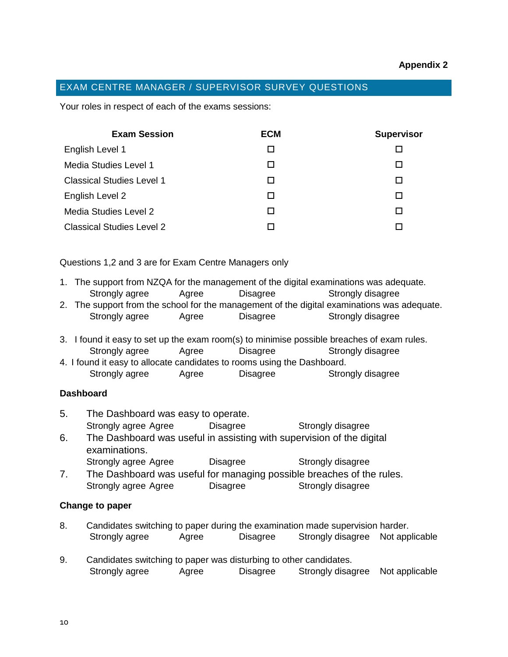# EXAM CENTRE MANAGER / SUPERVISOR SURVEY QUESTIONS

Your roles in respect of each of the exams sessions:

| <b>Exam Session</b>              | <b>ECM</b> | <b>Supervisor</b> |
|----------------------------------|------------|-------------------|
| English Level 1                  | П          |                   |
| Media Studies Level 1            |            |                   |
| <b>Classical Studies Level 1</b> |            |                   |
| English Level 2                  |            |                   |
| Media Studies Level 2            |            |                   |
| <b>Classical Studies Level 2</b> |            |                   |

Questions 1,2 and 3 are for Exam Centre Managers only

- 1. The support from NZQA for the management of the digital examinations was adequate. Strongly agree Agree Disagree Strongly disagree
- 2. The support from the school for the management of the digital examinations was adequate. Strongly agree Agree Disagree Strongly disagree
- 3. I found it easy to set up the exam room(s) to minimise possible breaches of exam rules. Strongly agree Agree Disagree Strongly disagree
- 4. I found it easy to allocate candidates to rooms using the Dashboard. Strongly agree Agree Disagree Strongly disagree

## **Dashboard**

- 5. The Dashboard was easy to operate. Strongly agree Agree Disagree Strongly disagree 6. The Dashboard was useful in assisting with supervision of the digital examinations.
	- Strongly agree Agree Disagree Strongly disagree
- 7. The Dashboard was useful for managing possible breaches of the rules. Strongly agree Agree Disagree Strongly disagree

## **Change to paper**

- 8. Candidates switching to paper during the examination made supervision harder. Strongly agree Agree Disagree Strongly disagree Not applicable
- 9. Candidates switching to paper was disturbing to other candidates. Strongly agree Agree Disagree Strongly disagree Not applicable